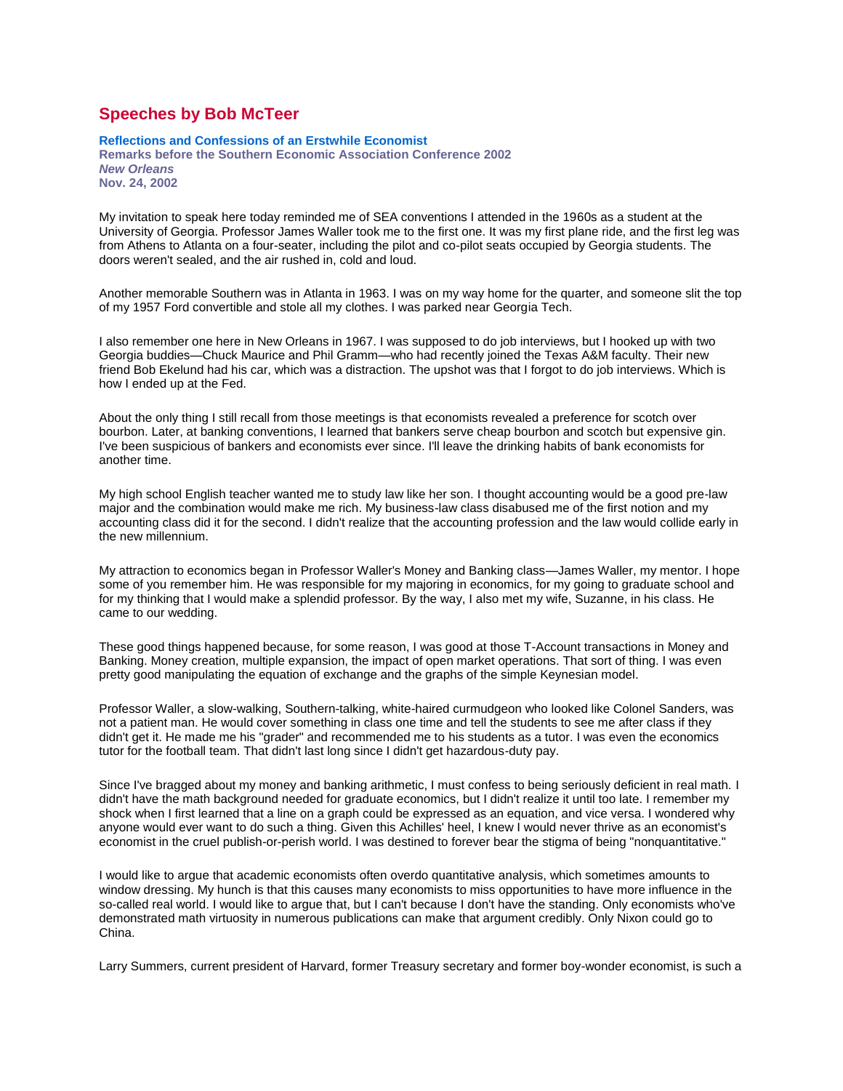## **Speeches by Bob McTeer**

## **Reflections and Confessions of an Erstwhile Economist**

**Remarks before the Southern Economic Association Conference 2002** *New Orleans* **Nov. 24, 2002**

My invitation to speak here today reminded me of SEA conventions I attended in the 1960s as a student at the University of Georgia. Professor James Waller took me to the first one. It was my first plane ride, and the first leg was from Athens to Atlanta on a four-seater, including the pilot and co-pilot seats occupied by Georgia students. The doors weren't sealed, and the air rushed in, cold and loud.

Another memorable Southern was in Atlanta in 1963. I was on my way home for the quarter, and someone slit the top of my 1957 Ford convertible and stole all my clothes. I was parked near Georgia Tech.

I also remember one here in New Orleans in 1967. I was supposed to do job interviews, but I hooked up with two Georgia buddies—Chuck Maurice and Phil Gramm—who had recently joined the Texas A&M faculty. Their new friend Bob Ekelund had his car, which was a distraction. The upshot was that I forgot to do job interviews. Which is how I ended up at the Fed.

About the only thing I still recall from those meetings is that economists revealed a preference for scotch over bourbon. Later, at banking conventions, I learned that bankers serve cheap bourbon and scotch but expensive gin. I've been suspicious of bankers and economists ever since. I'll leave the drinking habits of bank economists for another time.

My high school English teacher wanted me to study law like her son. I thought accounting would be a good pre-law major and the combination would make me rich. My business-law class disabused me of the first notion and my accounting class did it for the second. I didn't realize that the accounting profession and the law would collide early in the new millennium.

My attraction to economics began in Professor Waller's Money and Banking class—James Waller, my mentor. I hope some of you remember him. He was responsible for my majoring in economics, for my going to graduate school and for my thinking that I would make a splendid professor. By the way, I also met my wife, Suzanne, in his class. He came to our wedding.

These good things happened because, for some reason, I was good at those T-Account transactions in Money and Banking. Money creation, multiple expansion, the impact of open market operations. That sort of thing. I was even pretty good manipulating the equation of exchange and the graphs of the simple Keynesian model.

Professor Waller, a slow-walking, Southern-talking, white-haired curmudgeon who looked like Colonel Sanders, was not a patient man. He would cover something in class one time and tell the students to see me after class if they didn't get it. He made me his "grader" and recommended me to his students as a tutor. I was even the economics tutor for the football team. That didn't last long since I didn't get hazardous-duty pay.

Since I've bragged about my money and banking arithmetic, I must confess to being seriously deficient in real math. I didn't have the math background needed for graduate economics, but I didn't realize it until too late. I remember my shock when I first learned that a line on a graph could be expressed as an equation, and vice versa. I wondered why anyone would ever want to do such a thing. Given this Achilles' heel, I knew I would never thrive as an economist's economist in the cruel publish-or-perish world. I was destined to forever bear the stigma of being "nonquantitative."

I would like to argue that academic economists often overdo quantitative analysis, which sometimes amounts to window dressing. My hunch is that this causes many economists to miss opportunities to have more influence in the so-called real world. I would like to argue that, but I can't because I don't have the standing. Only economists who've demonstrated math virtuosity in numerous publications can make that argument credibly. Only Nixon could go to China.

Larry Summers, current president of Harvard, former Treasury secretary and former boy-wonder economist, is such a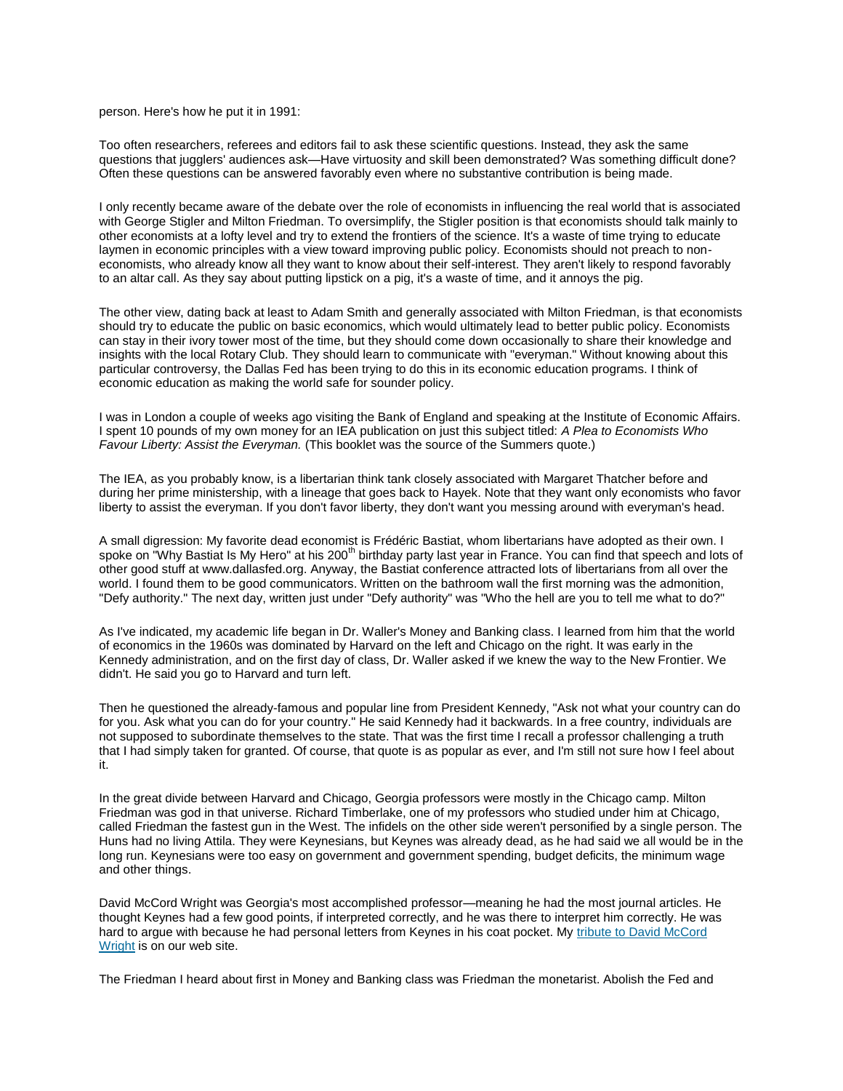person. Here's how he put it in 1991:

Too often researchers, referees and editors fail to ask these scientific questions. Instead, they ask the same questions that jugglers' audiences ask—Have virtuosity and skill been demonstrated? Was something difficult done? Often these questions can be answered favorably even where no substantive contribution is being made.

I only recently became aware of the debate over the role of economists in influencing the real world that is associated with George Stigler and Milton Friedman. To oversimplify, the Stigler position is that economists should talk mainly to other economists at a lofty level and try to extend the frontiers of the science. It's a waste of time trying to educate laymen in economic principles with a view toward improving public policy. Economists should not preach to noneconomists, who already know all they want to know about their self-interest. They aren't likely to respond favorably to an altar call. As they say about putting lipstick on a pig, it's a waste of time, and it annoys the pig.

The other view, dating back at least to Adam Smith and generally associated with Milton Friedman, is that economists should try to educate the public on basic economics, which would ultimately lead to better public policy. Economists can stay in their ivory tower most of the time, but they should come down occasionally to share their knowledge and insights with the local Rotary Club. They should learn to communicate with "everyman." Without knowing about this particular controversy, the Dallas Fed has been trying to do this in its economic education programs. I think of economic education as making the world safe for sounder policy.

I was in London a couple of weeks ago visiting the Bank of England and speaking at the Institute of Economic Affairs. I spent 10 pounds of my own money for an IEA publication on just this subject titled: *A Plea to Economists Who Favour Liberty: Assist the Everyman.* (This booklet was the source of the Summers quote.)

The IEA, as you probably know, is a libertarian think tank closely associated with Margaret Thatcher before and during her prime ministership, with a lineage that goes back to Hayek. Note that they want only economists who favor liberty to assist the everyman. If you don't favor liberty, they don't want you messing around with everyman's head.

A small digression: My favorite dead economist is Frédéric Bastiat, whom libertarians have adopted as their own. I spoke on "Why Bastiat Is My Hero" at his 200<sup>th</sup> birthday party last year in France. You can find that speech and lots of other good stuff at www.dallasfed.org. Anyway, the Bastiat conference attracted lots of libertarians from all over the world. I found them to be good communicators. Written on the bathroom wall the first morning was the admonition, "Defy authority." The next day, written just under "Defy authority" was "Who the hell are you to tell me what to do?"

As I've indicated, my academic life began in Dr. Waller's Money and Banking class. I learned from him that the world of economics in the 1960s was dominated by Harvard on the left and Chicago on the right. It was early in the Kennedy administration, and on the first day of class, Dr. Waller asked if we knew the way to the New Frontier. We didn't. He said you go to Harvard and turn left.

Then he questioned the already-famous and popular line from President Kennedy, "Ask not what your country can do for you. Ask what you can do for your country." He said Kennedy had it backwards. In a free country, individuals are not supposed to subordinate themselves to the state. That was the first time I recall a professor challenging a truth that I had simply taken for granted. Of course, that quote is as popular as ever, and I'm still not sure how I feel about it.

In the great divide between Harvard and Chicago, Georgia professors were mostly in the Chicago camp. Milton Friedman was god in that universe. Richard Timberlake, one of my professors who studied under him at Chicago, called Friedman the fastest gun in the West. The infidels on the other side weren't personified by a single person. The Huns had no living Attila. They were Keynesians, but Keynes was already dead, as he had said we all would be in the long run. Keynesians were too easy on government and government spending, budget deficits, the minimum wage and other things.

David McCord Wright was Georgia's most accomplished professor—meaning he had the most journal articles. He thought Keynes had a few good points, if interpreted correctly, and he was there to interpret him correctly. He was hard to argue with because he had personal letters from Keynes in his coat pocket. My [tribute to David McCord](http://web.archive.org/web/20041226072002/http:/www.dallasfed.org/mcteer/speeches/2000/ms000419.html)  [Wright](http://web.archive.org/web/20041226072002/http:/www.dallasfed.org/mcteer/speeches/2000/ms000419.html) is on our web site.

The Friedman I heard about first in Money and Banking class was Friedman the monetarist. Abolish the Fed and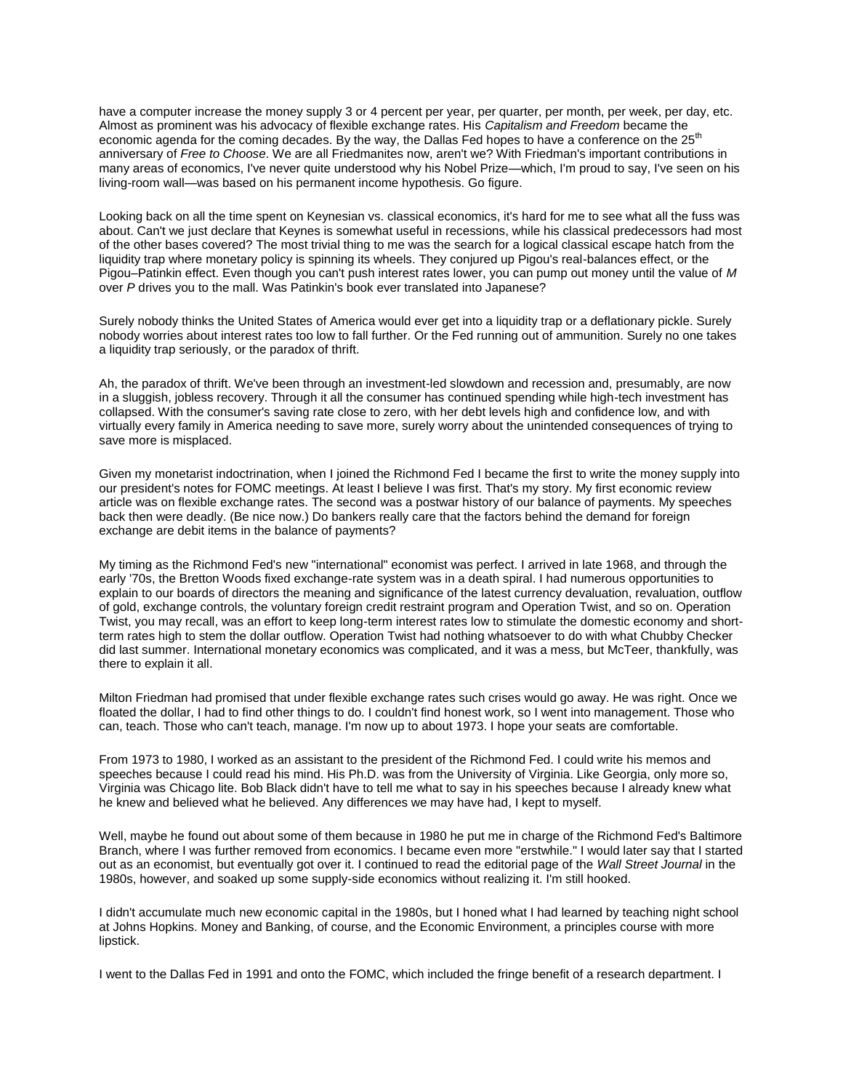have a computer increase the money supply 3 or 4 percent per year, per quarter, per month, per week, per day, etc. Almost as prominent was his advocacy of flexible exchange rates. His *Capitalism and Freedom* became the economic agenda for the coming decades. By the way, the Dallas Fed hopes to have a conference on the 25<sup>th</sup> anniversary of *Free to Choose*. We are all Friedmanites now, aren't we? With Friedman's important contributions in many areas of economics, I've never quite understood why his Nobel Prize—which, I'm proud to say, I've seen on his living-room wall—was based on his permanent income hypothesis. Go figure.

Looking back on all the time spent on Keynesian vs. classical economics, it's hard for me to see what all the fuss was about. Can't we just declare that Keynes is somewhat useful in recessions, while his classical predecessors had most of the other bases covered? The most trivial thing to me was the search for a logical classical escape hatch from the liquidity trap where monetary policy is spinning its wheels. They conjured up Pigou's real-balances effect, or the Pigou–Patinkin effect. Even though you can't push interest rates lower, you can pump out money until the value of *M* over *P* drives you to the mall. Was Patinkin's book ever translated into Japanese?

Surely nobody thinks the United States of America would ever get into a liquidity trap or a deflationary pickle. Surely nobody worries about interest rates too low to fall further. Or the Fed running out of ammunition. Surely no one takes a liquidity trap seriously, or the paradox of thrift.

Ah, the paradox of thrift. We've been through an investment-led slowdown and recession and, presumably, are now in a sluggish, jobless recovery. Through it all the consumer has continued spending while high-tech investment has collapsed. With the consumer's saving rate close to zero, with her debt levels high and confidence low, and with virtually every family in America needing to save more, surely worry about the unintended consequences of trying to save more is misplaced.

Given my monetarist indoctrination, when I joined the Richmond Fed I became the first to write the money supply into our president's notes for FOMC meetings. At least I believe I was first. That's my story. My first economic review article was on flexible exchange rates. The second was a postwar history of our balance of payments. My speeches back then were deadly. (Be nice now.) Do bankers really care that the factors behind the demand for foreign exchange are debit items in the balance of payments?

My timing as the Richmond Fed's new "international" economist was perfect. I arrived in late 1968, and through the early '70s, the Bretton Woods fixed exchange-rate system was in a death spiral. I had numerous opportunities to explain to our boards of directors the meaning and significance of the latest currency devaluation, revaluation, outflow of gold, exchange controls, the voluntary foreign credit restraint program and Operation Twist, and so on. Operation Twist, you may recall, was an effort to keep long-term interest rates low to stimulate the domestic economy and shortterm rates high to stem the dollar outflow. Operation Twist had nothing whatsoever to do with what Chubby Checker did last summer. International monetary economics was complicated, and it was a mess, but McTeer, thankfully, was there to explain it all.

Milton Friedman had promised that under flexible exchange rates such crises would go away. He was right. Once we floated the dollar, I had to find other things to do. I couldn't find honest work, so I went into management. Those who can, teach. Those who can't teach, manage. I'm now up to about 1973. I hope your seats are comfortable.

From 1973 to 1980, I worked as an assistant to the president of the Richmond Fed. I could write his memos and speeches because I could read his mind. His Ph.D. was from the University of Virginia. Like Georgia, only more so, Virginia was Chicago lite. Bob Black didn't have to tell me what to say in his speeches because I already knew what he knew and believed what he believed. Any differences we may have had, I kept to myself.

Well, maybe he found out about some of them because in 1980 he put me in charge of the Richmond Fed's Baltimore Branch, where I was further removed from economics. I became even more "erstwhile." I would later say that I started out as an economist, but eventually got over it. I continued to read the editorial page of the *Wall Street Journal* in the 1980s, however, and soaked up some supply-side economics without realizing it. I'm still hooked.

I didn't accumulate much new economic capital in the 1980s, but I honed what I had learned by teaching night school at Johns Hopkins. Money and Banking, of course, and the Economic Environment, a principles course with more lipstick.

I went to the Dallas Fed in 1991 and onto the FOMC, which included the fringe benefit of a research department. I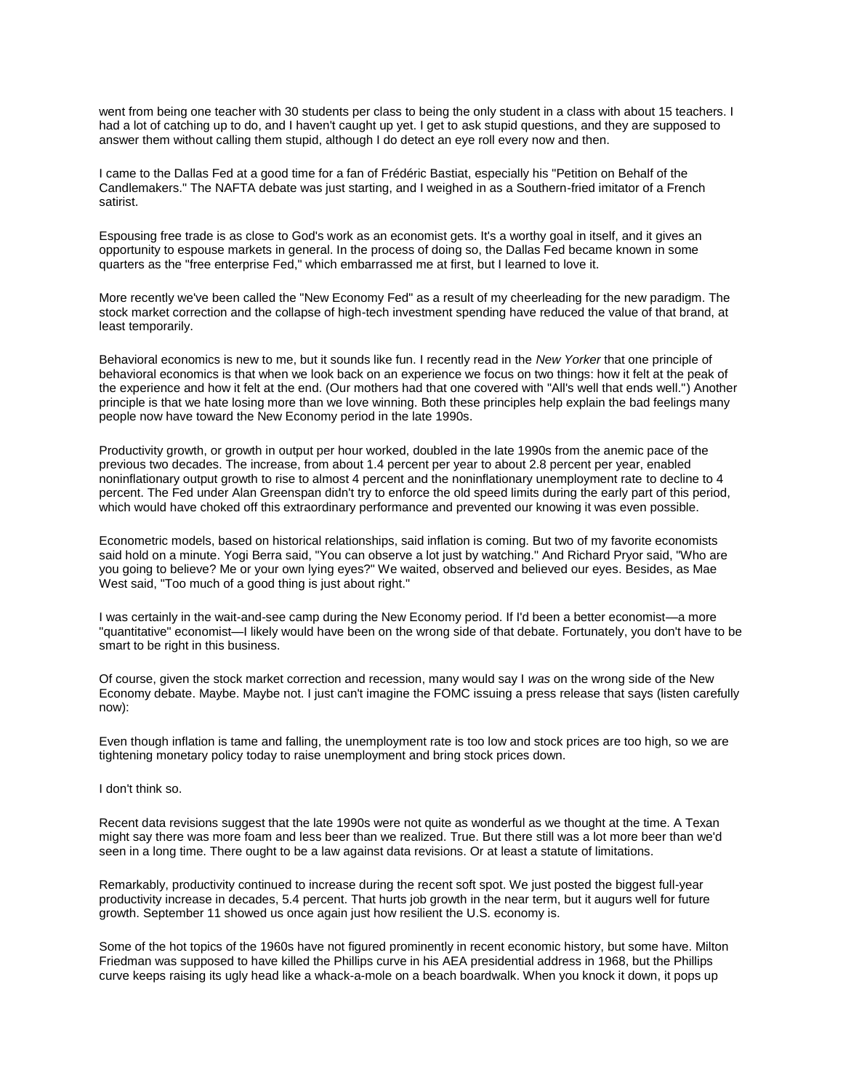went from being one teacher with 30 students per class to being the only student in a class with about 15 teachers. I had a lot of catching up to do, and I haven't caught up yet. I get to ask stupid questions, and they are supposed to answer them without calling them stupid, although I do detect an eye roll every now and then.

I came to the Dallas Fed at a good time for a fan of Frédéric Bastiat, especially his "Petition on Behalf of the Candlemakers." The NAFTA debate was just starting, and I weighed in as a Southern-fried imitator of a French satirist.

Espousing free trade is as close to God's work as an economist gets. It's a worthy goal in itself, and it gives an opportunity to espouse markets in general. In the process of doing so, the Dallas Fed became known in some quarters as the "free enterprise Fed," which embarrassed me at first, but I learned to love it.

More recently we've been called the "New Economy Fed" as a result of my cheerleading for the new paradigm. The stock market correction and the collapse of high-tech investment spending have reduced the value of that brand, at least temporarily.

Behavioral economics is new to me, but it sounds like fun. I recently read in the *New Yorker* that one principle of behavioral economics is that when we look back on an experience we focus on two things: how it felt at the peak of the experience and how it felt at the end. (Our mothers had that one covered with "All's well that ends well.") Another principle is that we hate losing more than we love winning. Both these principles help explain the bad feelings many people now have toward the New Economy period in the late 1990s.

Productivity growth, or growth in output per hour worked, doubled in the late 1990s from the anemic pace of the previous two decades. The increase, from about 1.4 percent per year to about 2.8 percent per year, enabled noninflationary output growth to rise to almost 4 percent and the noninflationary unemployment rate to decline to 4 percent. The Fed under Alan Greenspan didn't try to enforce the old speed limits during the early part of this period, which would have choked off this extraordinary performance and prevented our knowing it was even possible.

Econometric models, based on historical relationships, said inflation is coming. But two of my favorite economists said hold on a minute. Yogi Berra said, "You can observe a lot just by watching." And Richard Pryor said, "Who are you going to believe? Me or your own lying eyes?" We waited, observed and believed our eyes. Besides, as Mae West said, "Too much of a good thing is just about right."

I was certainly in the wait-and-see camp during the New Economy period. If I'd been a better economist—a more "quantitative" economist—I likely would have been on the wrong side of that debate. Fortunately, you don't have to be smart to be right in this business.

Of course, given the stock market correction and recession, many would say I *was* on the wrong side of the New Economy debate. Maybe. Maybe not. I just can't imagine the FOMC issuing a press release that says (listen carefully now):

Even though inflation is tame and falling, the unemployment rate is too low and stock prices are too high, so we are tightening monetary policy today to raise unemployment and bring stock prices down.

I don't think so.

Recent data revisions suggest that the late 1990s were not quite as wonderful as we thought at the time. A Texan might say there was more foam and less beer than we realized. True. But there still was a lot more beer than we'd seen in a long time. There ought to be a law against data revisions. Or at least a statute of limitations.

Remarkably, productivity continued to increase during the recent soft spot. We just posted the biggest full-year productivity increase in decades, 5.4 percent. That hurts job growth in the near term, but it augurs well for future growth. September 11 showed us once again just how resilient the U.S. economy is.

Some of the hot topics of the 1960s have not figured prominently in recent economic history, but some have. Milton Friedman was supposed to have killed the Phillips curve in his AEA presidential address in 1968, but the Phillips curve keeps raising its ugly head like a whack-a-mole on a beach boardwalk. When you knock it down, it pops up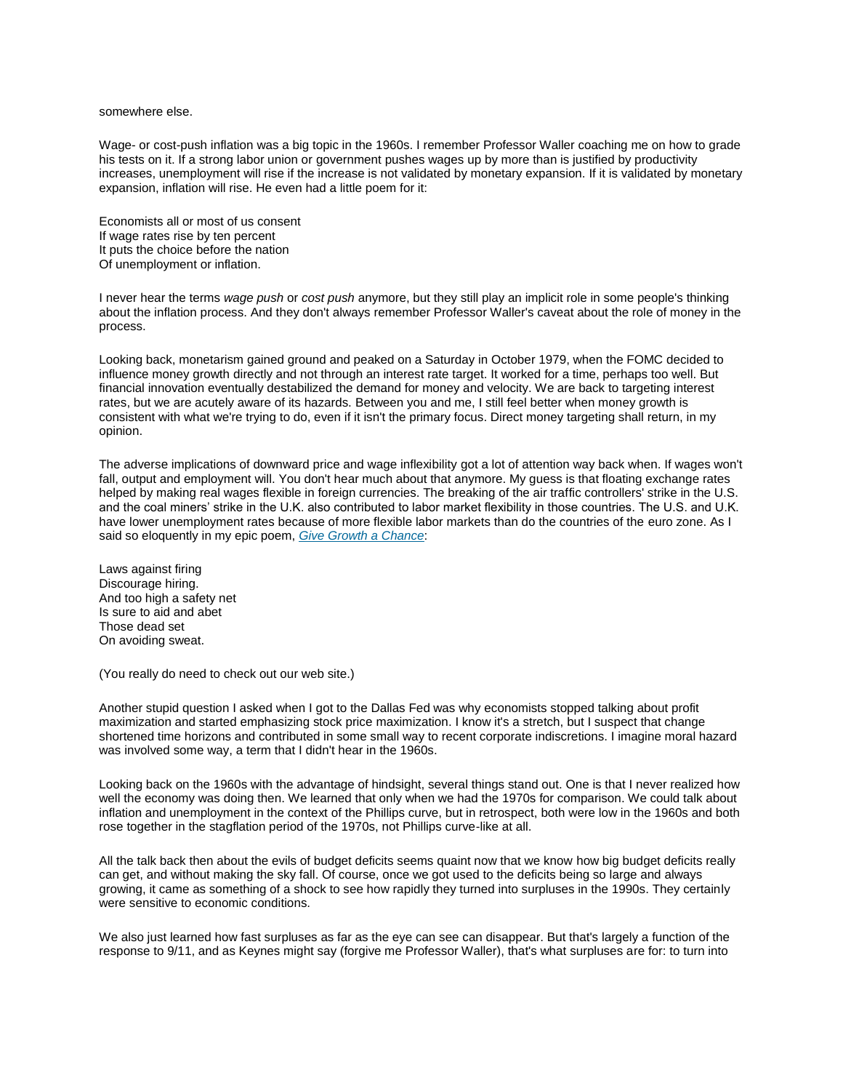## somewhere else.

Wage- or cost-push inflation was a big topic in the 1960s. I remember Professor Waller coaching me on how to grade his tests on it. If a strong labor union or government pushes wages up by more than is justified by productivity increases, unemployment will rise if the increase is not validated by monetary expansion. If it is validated by monetary expansion, inflation will rise. He even had a little poem for it:

Economists all or most of us consent If wage rates rise by ten percent It puts the choice before the nation Of unemployment or inflation.

I never hear the terms *wage push* or *cost push* anymore, but they still play an implicit role in some people's thinking about the inflation process. And they don't always remember Professor Waller's caveat about the role of money in the process.

Looking back, monetarism gained ground and peaked on a Saturday in October 1979, when the FOMC decided to influence money growth directly and not through an interest rate target. It worked for a time, perhaps too well. But financial innovation eventually destabilized the demand for money and velocity. We are back to targeting interest rates, but we are acutely aware of its hazards. Between you and me, I still feel better when money growth is consistent with what we're trying to do, even if it isn't the primary focus. Direct money targeting shall return, in my opinion.

The adverse implications of downward price and wage inflexibility got a lot of attention way back when. If wages won't fall, output and employment will. You don't hear much about that anymore. My guess is that floating exchange rates helped by making real wages flexible in foreign currencies. The breaking of the air traffic controllers' strike in the U.S. and the coal miners' strike in the U.K. also contributed to labor market flexibility in those countries. The U.S. and U.K. have lower unemployment rates because of more flexible labor markets than do the countries of the euro zone. As I said so eloquently in my epic poem, *[Give Growth a Chance](http://web.archive.org/web/20041226072002/http:/www.dallasfed.org/mcteer/rhyme/growth.html)*:

Laws against firing Discourage hiring. And too high a safety net Is sure to aid and abet Those dead set On avoiding sweat.

(You really do need to check out our web site.)

Another stupid question I asked when I got to the Dallas Fed was why economists stopped talking about profit maximization and started emphasizing stock price maximization. I know it's a stretch, but I suspect that change shortened time horizons and contributed in some small way to recent corporate indiscretions. I imagine moral hazard was involved some way, a term that I didn't hear in the 1960s.

Looking back on the 1960s with the advantage of hindsight, several things stand out. One is that I never realized how well the economy was doing then. We learned that only when we had the 1970s for comparison. We could talk about inflation and unemployment in the context of the Phillips curve, but in retrospect, both were low in the 1960s and both rose together in the stagflation period of the 1970s, not Phillips curve-like at all.

All the talk back then about the evils of budget deficits seems quaint now that we know how big budget deficits really can get, and without making the sky fall. Of course, once we got used to the deficits being so large and always growing, it came as something of a shock to see how rapidly they turned into surpluses in the 1990s. They certainly were sensitive to economic conditions.

We also just learned how fast surpluses as far as the eye can see can disappear. But that's largely a function of the response to 9/11, and as Keynes might say (forgive me Professor Waller), that's what surpluses are for: to turn into